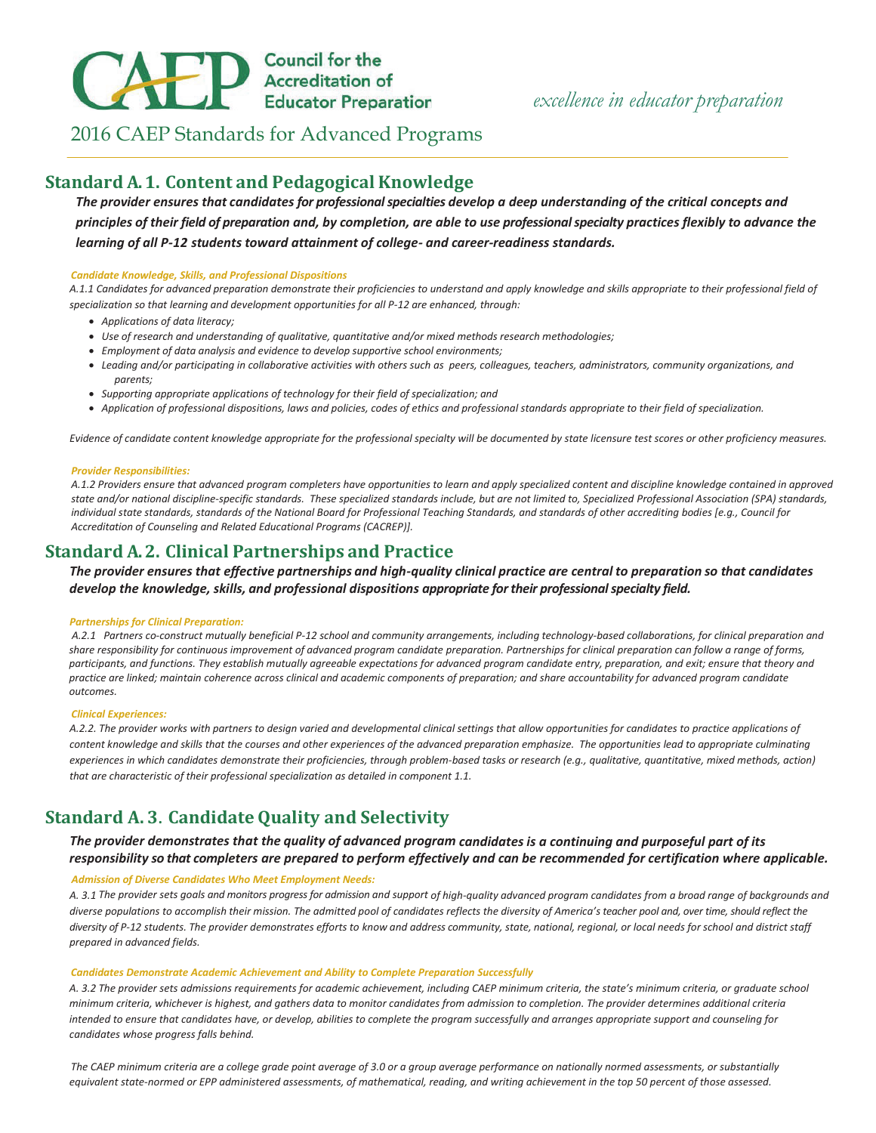# **CAPP** Council for the<br>Educator Preparation

# 2016 CAEP Standards for Advanced Programs

## **Standard A. 1. Content and Pedagogical Knowledge**

*The provider ensures that candidates for professional specialties develop a deep understanding of the critical concepts and principles of their field of preparation and, by completion, are able to use professional specialty practices flexibly to advance the learning of all P-12 students toward attainment of college- and career-readiness standards.* 

#### *Candidate Knowledge, Skills, and Professional Dispositions*

*A.1.1 Candidates for advanced preparation demonstrate their proficiencies to understand and apply knowledge and skills appropriate to their professional field of specialization so that learning and development opportunities for all P-12 are enhanced, through:* 

- x *Applications of data literacy;*
- x *Use of research and understanding of qualitative, quantitative and/or mixed methods research methodologies;*
- x *Employment of data analysis and evidence to develop supportive school environments;*
- x *Leading and/or participating in collaborative activities with others such as peers, colleagues, teachers, administrators, community organizations, and parents;*
- x *Supporting appropriate applications of technology for their field of specialization; and*
- x *Application of professional dispositions, laws and policies, codes of ethics and professional standards appropriate to their field of specialization.*

*Evidence of candidate content knowledge appropriate for the professional specialty will be documented by state licensure test scores or other proficiency measures.* 

#### *Provider Responsibilities:*

*A.1.2 Providers ensure that advanced program completers have opportunities to learn and apply specialized content and discipline knowledge contained in approved state and/or national discipline-specific standards. These specialized standards include, but are not limited to, Specialized Professional Association (SPA) standards, individual state standards, standards of the National Board for Professional Teaching Standards, and standards of other accrediting bodies [e.g., Council for Accreditation of Counseling and Related Educational Programs (CACREP)].* 

# **Standard A. 2. Clinical Partnerships and Practice**

*The provider ensures that effective partnerships and high-quality clinical practice are central to preparation so that candidates develop the knowledge, skills, and professional dispositions appropriate for their professional specialty field.* 

#### *Partnerships for Clinical Preparation:*

 *A.2.1 Partners co-construct mutually beneficial P-12 school and community arrangements, including technology-based collaborations, for clinical preparation and share responsibility for continuous improvement of advanced program candidate preparation. Partnerships for clinical preparation can follow a range of forms, participants, and functions. They establish mutually agreeable expectations for advanced program candidate entry, preparation, and exit; ensure that theory and practice are linked; maintain coherence across clinical and academic components of preparation; and share accountability for advanced program candidate outcomes.* 

#### *Clinical Experiences:*

*A.2.2. The provider works with partners to design varied and developmental clinical settings that allow opportunities for candidates to practice applications of content knowledge and skills that the courses and other experiences of the advanced preparation emphasize. The opportunities lead to appropriate culminating experiences in which candidates demonstrate their proficiencies, through problem-based tasks or research (e.g., qualitative, quantitative, mixed methods, action) that are characteristic of their professional specialization as detailed in component 1.1.* 

# **Standard A. 3. Candidate Quality and Selectivity**

## *The provider demonstrates that the quality of advanced program candidates is a continuing and purposeful part of its* responsibility so that completers are prepared to perform effectively and can be recommended for certification where applicable.

#### *Admission of Diverse Candidates Who Meet Employment Needs:*

*A. 3.1 The provider sets goals and monitors progress for admission and support of high-quality advanced program candidates from a broad range of backgrounds and*  diverse populations to accomplish their mission. The admitted pool of candidates reflects the diversity of America's teacher pool and, over time, should reflect the diversity of P-12 students. The provider demonstrates efforts to know and address community, state, national, regional, or local needs for school and district staff *prepared in advanced fields.* 

#### *Candidates Demonstrate Academic Achievement and Ability to Complete Preparation Successfully*

A. 3.2 The provider sets admissions requirements for academic achievement, including CAEP minimum criteria, the state's minimum criteria, or graduate school *minimum criteria, whichever is highest, and gathers data to monitor candidates from admission to completion. The provider determines additional criteria* intended to ensure that candidates have, or develop, abilities to complete the program successfully and arranges appropriate support and counseling for  $c$ andidates whose progress falls behind.

The CAEP minimum criteria are a college grade point average of 3.0 or a group average performance on nationally normed assessments, or substantially equivalent state-normed or EPP administered assessments, of mathematical, reading, and writing achievement in the top 50 percent of those assessed.